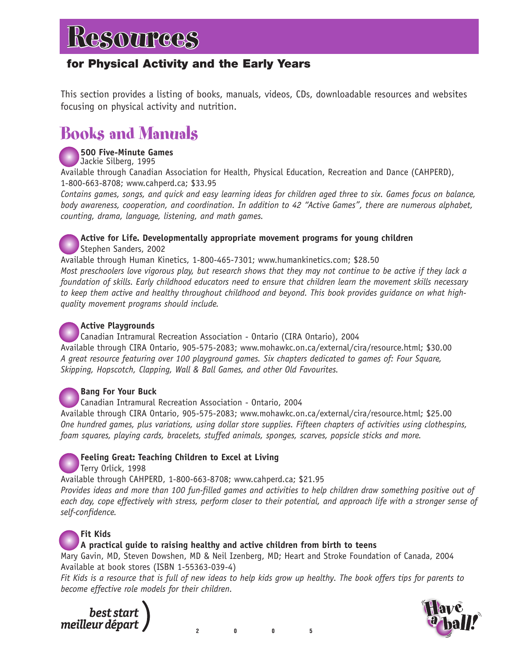### **for Physical Activity and the Early Years**

This section provides a listing of books, manuals, videos, CDs, downloadable resources and websites focusing on physical activity and nutrition.

### Books and Manuals



**500 Five-Minute Games** Jackie Silberg, 1995

Available through Canadian Association for Health, Physical Education, Recreation and Dance (CAHPERD), 1-800-663-8708; www.cahperd.ca; \$33.95

*Contains games, songs, and quick and easy learning ideas for children aged three to six. Games focus on balance, body awareness, cooperation, and coordination. In addition to 42 "Active Games", there are numerous alphabet, counting, drama, language, listening, and math games.*

**Active for Life. Developmentally appropriate movement programs for young children** Stephen Sanders, 2002

Available through Human Kinetics, 1-800-465-7301; www.humankinetics.com; \$28.50 *Most preschoolers love vigorous play, but research shows that they may not continue to be active if they lack a*

*foundation of skills. Early childhood educators need to ensure that children learn the movement skills necessary to keep them active and healthy throughout childhood and beyond. This book provides guidance on what highquality movement programs should include.*

### **Active Playgrounds**

Canadian Intramural Recreation Association - Ontario (CIRA Ontario), 2004 Available through CIRA Ontario, 905-575-2083; www.mohawkc.on.ca/external/cira/resource.html; \$30.00 *A great resource featuring over 100 playground games. Six chapters dedicated to games of: Four Square, Skipping, Hopscotch, Clapping, Wall & Ball Games, and other Old Favourites.*

### **Bang For Your Buck**

Canadian Intramural Recreation Association - Ontario, 2004

Available through CIRA Ontario, 905-575-2083; www.mohawkc.on.ca/external/cira/resource.html; \$25.00 *One hundred games, plus variations, using dollar store supplies. Fifteen chapters of activities using clothespins, foam squares, playing cards, bracelets, stuffed animals, sponges, scarves, popsicle sticks and more.* 



Available through CAHPERD, 1-800-663-8708; www.cahperd.ca; \$21.95

*Provides ideas and more than 100 fun-filled games and activities to help children draw something positive out of each day, cope effectively with stress, perform closer to their potential, and approach life with a stronger sense of self-confidence.* 



### **Fit Kids**

### **A practical guide to raising healthy and active children from birth to teens**

Mary Gavin, MD, Steven Dowshen, MD & Neil Izenberg, MD; Heart and Stroke Foundation of Canada, 2004 Available at book stores (ISBN 1-55363-039-4)

**2005**

*Fit Kids is a resource that is full of new ideas to help kids grow up healthy. The book offers tips for parents to become effective role models for their children.* 



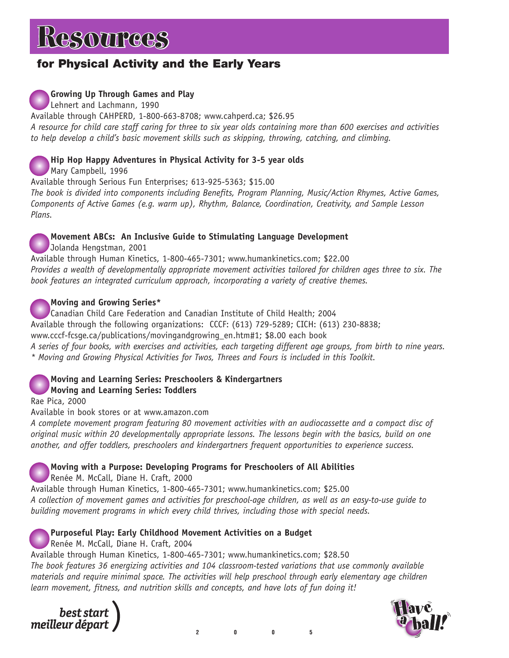### **for Physical Activity and the Early Years**

### **Growing Up Through Games and Play**

Lehnert and Lachmann, 1990

Available through CAHPERD, 1-800-663-8708; www.cahperd.ca; \$26.95 *A resource for child care staff caring for three to six year olds containing more than 600 exercises and activities to help develop a child's basic movement skills such as skipping, throwing, catching, and climbing.*

### **Hip Hop Happy Adventures in Physical Activity for 3-5 year olds**

Mary Campbell, 1996

Available through Serious Fun Enterprises; 613-925-5363; \$15.00

*The book is divided into components including Benefits, Program Planning, Music/Action Rhymes, Active Games, Components of Active Games (e.g. warm up), Rhythm, Balance, Coordination, Creativity, and Sample Lesson Plans.*

### **Movement ABCs: An Inclusive Guide to Stimulating Language Development**

Jolanda Hengstman, 2001

Available through Human Kinetics, 1-800-465-7301; www.humankinetics.com; \$22.00 *Provides a wealth of developmentally appropriate movement activities tailored for children ages three to six. The book features an integrated curriculum approach, incorporating a variety of creative themes.*

### **Moving and Growing Series\***

Canadian Child Care Federation and Canadian Institute of Child Health; 2004 Available through the following organizations: CCCF: (613) 729-5289; CICH: (613) 230-8838;

www.cccf-fcsge.ca/publications/movingandgrowing\_en.htm#1; \$8.00 each book

*A series of four books, with exercises and activities, each targeting different age groups, from birth to nine years. \* Moving and Growing Physical Activities for Twos, Threes and Fours is included in this Toolkit.* 

#### **Moving and Learning Series: Preschoolers & Kindergartners Moving and Learning Series: Toddlers**

Rae Pica, 2000

Available in book stores or at www.amazon.com

*A complete movement program featuring 80 movement activities with an audiocassette and a compact disc of original music within 20 developmentally appropriate lessons. The lessons begin with the basics, build on one another, and offer toddlers, preschoolers and kindergartners frequent opportunities to experience success.*

**Moving with a Purpose: Developing Programs for Preschoolers of All Abilities**

Renée M. McCall, Diane H. Craft, 2000

Available through Human Kinetics, 1-800-465-7301; www.humankinetics.com; \$25.00 *A collection of movement games and activities for preschool-age children, as well as an easy-to-use guide to building movement programs in which every child thrives, including those with special needs.* 

### **Purposeful Play: Early Childhood Movement Activities on a Budget**

Renée M. McCall, Diane H. Craft, 2004

Available through Human Kinetics, 1-800-465-7301; www.humankinetics.com; \$28.50 *The book features 36 energizing activities and 104 classroom-tested variations that use commonly available materials and require minimal space. The activities will help preschool through early elementary age children learn movement, fitness, and nutrition skills and concepts, and have lots of fun doing it!*



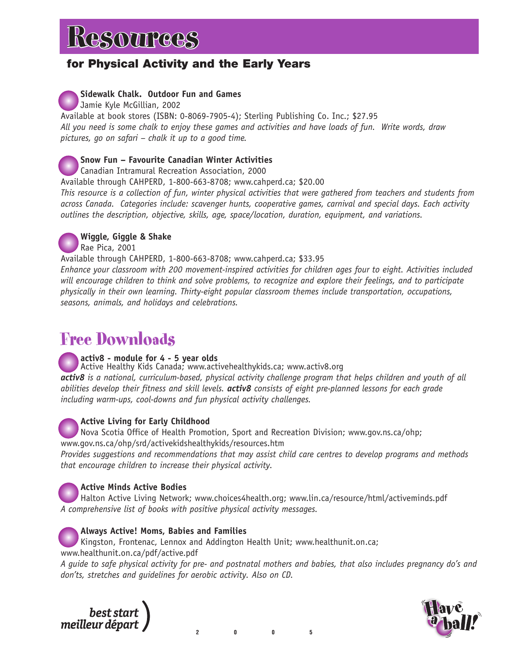### **for Physical Activity and the Early Years**

### **Sidewalk Chalk. Outdoor Fun and Games**

Jamie Kyle McGillian, 2002

Available at book stores (ISBN: 0-8069-7905-4); Sterling Publishing Co. Inc.; \$27.95 *All you need is some chalk to enjoy these games and activities and have loads of fun. Write words, draw pictures, go on safari – chalk it up to a good time.*

### **Snow Fun – Favourite Canadian Winter Activities**

Canadian Intramural Recreation Association, 2000

Available through CAHPERD, 1-800-663-8708; www.cahperd.ca; \$20.00

*This resource is a collection of fun, winter physical activities that were gathered from teachers and students from across Canada. Categories include: scavenger hunts, cooperative games, carnival and special days. Each activity outlines the description, objective, skills, age, space/location, duration, equipment, and variations.* 



### **Wiggle, Giggle & Shake**

Rae Pica, 2001

Available through CAHPERD, 1-800-663-8708; www.cahperd.ca; \$33.95

*Enhance your classroom with 200 movement-inspired activities for children ages four to eight. Activities included will encourage children to think and solve problems, to recognize and explore their feelings, and to participate physically in their own learning. Thirty-eight popular classroom themes include transportation, occupations, seasons, animals, and holidays and celebrations.*

### Free Downloads

### **activ8 - module for 4 - 5 year olds**

Active Healthy Kids Canada; www.activehealthykids.ca; www.activ8.org *activ8 is a national, curriculum-based, physical activity challenge program that helps children and youth of all abilities develop their fitness and skill levels. activ8 consists of eight pre-planned lessons for each grade including warm-ups, cool-downs and fun physical activity challenges.*

### **Active Living for Early Childhood**

Nova Scotia Office of Health Promotion, Sport and Recreation Division; www.gov.ns.ca/ohp; www.gov.ns.ca/ohp/srd/activekidshealthykids/resources.htm

*Provides suggestions and recommendations that may assist child care centres to develop programs and methods that encourage children to increase their physical activity.*

### **Active Minds Active Bodies**

Halton Active Living Network; www.choices4health.org; www.lin.ca/resource/html/activeminds.pdf *A comprehensive list of books with positive physical activity messages.*

### **Always Active! Moms, Babies and Families**

Kingston, Frontenac, Lennox and Addington Health Unit; www.healthunit.on.ca; www.healthunit.on.ca/pdf/active.pdf

*A guide to safe physical activity for pre- and postnatal mothers and babies, that also includes pregnancy do's and don'ts, stretches and guidelines for aerobic activity. Also on CD.*



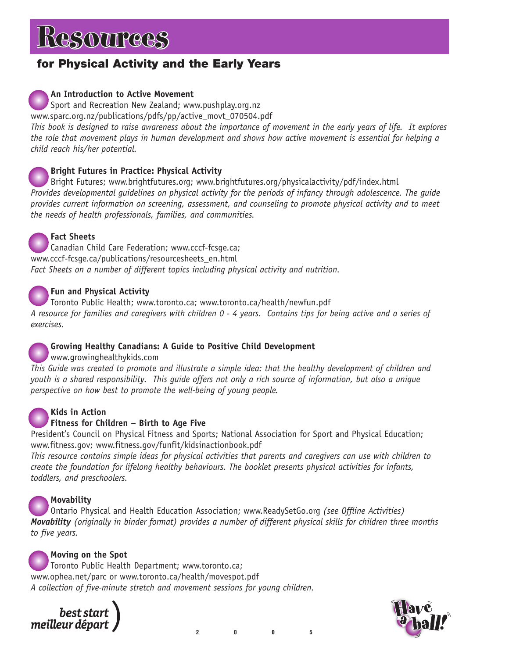# **ESOUPCES**

### **for Physical Activity and the Early Years**

### **An Introduction to Active Movement**

Sport and Recreation New Zealand; www.pushplay.org.nz

www.sparc.org.nz/publications/pdfs/pp/active\_movt\_070504.pdf

*This book is designed to raise awareness about the importance of movement in the early years of life. It explores the role that movement plays in human development and shows how active movement is essential for helping a child reach his/her potential.*

### **Bright Futures in Practice: Physical Activity**

Bright Futures; www.brightfutures.org; www.brightfutures.org/physicalactivity/pdf/index.html *Provides developmental guidelines on physical activity for the periods of infancy through adolescence. The guide provides current information on screening, assessment, and counseling to promote physical activity and to meet the needs of health professionals, families, and communities.*



### **Fact Sheets**

Canadian Child Care Federation; www.cccf-fcsge.ca; www.cccf-fcsge.ca/publications/resourcesheets\_en.html *Fact Sheets on a number of different topics including physical activity and nutrition.*

### **Fun and Physical Activity**

Toronto Public Health; www.toronto.ca; www.toronto.ca/health/newfun.pdf *A resource for families and caregivers with children 0 - 4 years. Contains tips for being active and a series of exercises.*

### **Growing Healthy Canadians: A Guide to Positive Child Development**

#### www.growinghealthykids.com

*This Guide was created to promote and illustrate a simple idea: that the healthy development of children and youth is a shared responsibility. This guide offers not only a rich source of information, but also a unique perspective on how best to promote the well-being of young people.* 



### **Kids in Action**

### **Fitness for Children – Birth to Age Five**

President's Council on Physical Fitness and Sports; National Association for Sport and Physical Education; www.fitness.gov; www.fitness.gov/funfit/kidsinactionbook.pdf

*This resource contains simple ideas for physical activities that parents and caregivers can use with children to create the foundation for lifelong healthy behaviours. The booklet presents physical activities for infants, toddlers, and preschoolers.*

### **Movability**

Ontario Physical and Health Education Association; www.ReadySetGo.org *(see Offline Activities) Movability (originally in binder format) provides a number of different physical skills for children three months to five years.*

#### **Moving on the Spot**

Toronto Public Health Department; www.toronto.ca; www.ophea.net/parc or www.toronto.ca/health/movespot.pdf *A collection of five-minute stretch and movement sessions for young children.*



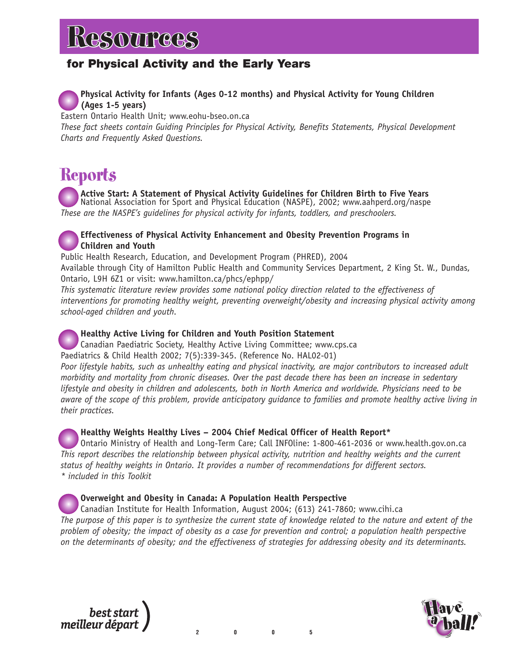### **for Physical Activity and the Early Years**

### **Physical Activity for Infants (Ages 0-12 months) and Physical Activity for Young Children (Ages 1-5 years)**

Eastern Ontario Health Unit; www.eohu-bseo.on.ca

*These fact sheets contain Guiding Principles for Physical Activity, Benefits Statements, Physical Development Charts and Frequently Asked Questions.*

### **Reports**

**Active Start: A Statement of Physical Activity Guidelines for Children Birth to Five Years** National Association for Sport and Physical Education (NASPE), 2002; www.aahperd.org/naspe *These are the NASPE's guidelines for physical activity for infants, toddlers, and preschoolers.*

### **Effectiveness of Physical Activity Enhancement and Obesity Prevention Programs in Children and Youth**

Public Health Research, Education, and Development Program (PHRED), 2004 Available through City of Hamilton Public Health and Community Services Department, 2 King St. W., Dundas, Ontario, L9H 6Z1 or visit: www.hamilton.ca/phcs/ephpp/

*This systematic literature review provides some national policy direction related to the effectiveness of interventions for promoting healthy weight, preventing overweight/obesity and increasing physical activity among school-aged children and youth.*

### **Healthy Active Living for Children and Youth Position Statement**

Canadian Paediatric Society, Healthy Active Living Committee; www.cps.ca Paediatrics & Child Health 2002; 7(5):339-345. (Reference No. HAL02-01) *Poor lifestyle habits, such as unhealthy eating and physical inactivity, are major contributors to increased adult morbidity and mortality from chronic diseases. Over the past decade there has been an increase in sedentary lifestyle and obesity in children and adolescents, both in North America and worldwide. Physicians need to be*

*aware of the scope of this problem, provide anticipatory guidance to families and promote healthy active living in their practices.* **Healthy Weights Healthy Lives – 2004 Chief Medical Officer of Health Report\***

Ontario Ministry of Health and Long-Term Care; Call INFOline: 1-800-461-2036 or www.health.gov.on.ca *This report describes the relationship between physical activity, nutrition and healthy weights and the current status of healthy weights in Ontario. It provides a number of recommendations for different sectors. \* included in this Toolkit*

**Overweight and Obesity in Canada: A Population Health Perspective** Canadian Institute for Health Information, August 2004; (613) 241-7860; www.cihi.ca *The purpose of this paper is to synthesize the current state of knowledge related to the nature and extent of the problem of obesity; the impact of obesity as a case for prevention and control; a population health perspective on the determinants of obesity; and the effectiveness of strategies for addressing obesity and its determinants.*



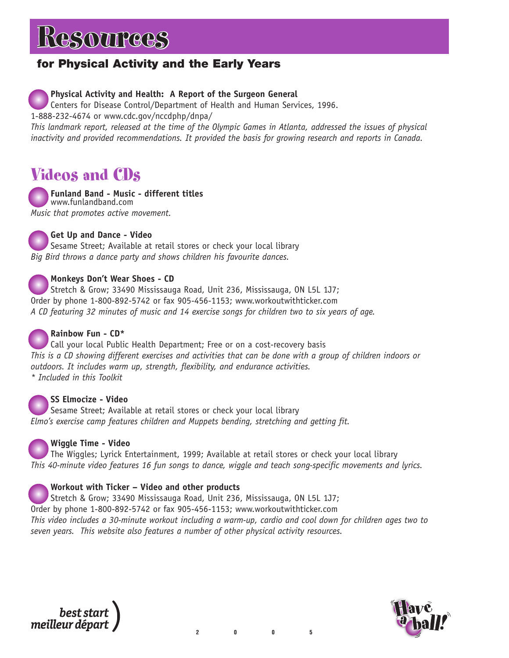# **ESOUPCES**

### **for Physical Activity and the Early Years**

### **Physical Activity and Health: A Report of the Surgeon General**

Centers for Disease Control/Department of Health and Human Services, 1996.

1-888-232-4674 or www.cdc.gov/nccdphp/dnpa/

*This landmark report, released at the time of the Olympic Games in Atlanta, addressed the issues of physical inactivity and provided recommendations. It provided the basis for growing research and reports in Canada.*

### Videos and CDs

**Funland Band - Music - different titles** www.funlandband.com *Music that promotes active movement.*

**Get Up and Dance - Video**

Sesame Street; Available at retail stores or check your local library *Big Bird throws a dance party and shows children his favourite dances.*

### **Monkeys Don't Wear Shoes - CD**

Stretch & Grow; 33490 Mississauga Road, Unit 236, Mississauga, ON L5L 1J7; Order by phone 1-800-892-5742 or fax 905-456-1153; www.workoutwithticker.com *A CD featuring 32 minutes of music and 14 exercise songs for children two to six years of age.* 

### **Rainbow Fun - CD\***

Call your local Public Health Department; Free or on a cost-recovery basis *This is a CD showing different exercises and activities that can be done with a group of children indoors or outdoors. It includes warm up, strength, flexibility, and endurance activities. \* Included in this Toolkit*

### **SS Elmocize - Video**

Sesame Street; Available at retail stores or check your local library *Elmo's exercise camp features children and Muppets bending, stretching and getting fit.*



### **Wiggle Time - Video**

The Wiggles; Lyrick Entertainment, 1999; Available at retail stores or check your local library *This 40-minute video features 16 fun songs to dance, wiggle and teach song-specific movements and lyrics.*

### **Workout with Ticker – Video and other products**

Stretch & Grow; 33490 Mississauga Road, Unit 236, Mississauga, ON L5L 1J7; Order by phone 1-800-892-5742 or fax 905-456-1153; www.workoutwithticker.com *This video includes a 30-minute workout including a warm-up, cardio and cool down for children ages two to seven years. This website also features a number of other physical activity resources.*

best sta meilleur départ

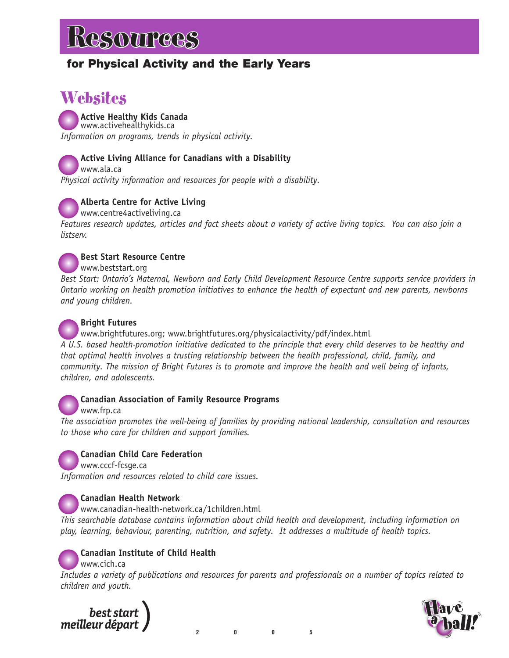### **for Physical Activity and the Early Years**

### Websites

**Active Healthy Kids Canada** www.activehealthykids.ca *Information on programs, trends in physical activity.*

### **Active Living Alliance for Canadians with a Disability**

www.ala.ca *Physical activity information and resources for people with a disability.* 



### **Alberta Centre for Active Living**

www.centre4activeliving.ca

*Features research updates, articles and fact sheets about a variety of active living topics. You can also join a listserv.* 



### **Best Start Resource Centre**

www.beststart.org

*Best Start: Ontario's Maternal, Newborn and Early Child Development Resource Centre supports service providers in Ontario working on health promotion initiatives to enhance the health of expectant and new parents, newborns and young children.* 

### **Bright Futures**

www.brightfutures.org; www.brightfutures.org/physicalactivity/pdf/index.html *A U.S. based health-promotion initiative dedicated to the principle that every child deserves to be healthy and that optimal health involves a trusting relationship between the health professional, child, family, and community. The mission of Bright Futures is to promote and improve the health and well being of infants, children, and adolescents.*

### **Canadian Association of Family Resource Programs**

### www.frp.ca

*The association promotes the well-being of families by providing national leadership, consultation and resources to those who care for children and support families.*



### **Canadian Child Care Federation**

www.cccf-fcsge.ca

*Information and resources related to child care issues.*

### **Canadian Health Network**

www.canadian-health-network.ca/1children.html

*This searchable database contains information about child health and development, including information on play, learning, behaviour, parenting, nutrition, and safety. It addresses a multitude of health topics.*

**Canadian Institute of Child Health**

www.cich.ca

*Includes a variety of publications and resources for parents and professionals on a number of topics related to children and youth.*



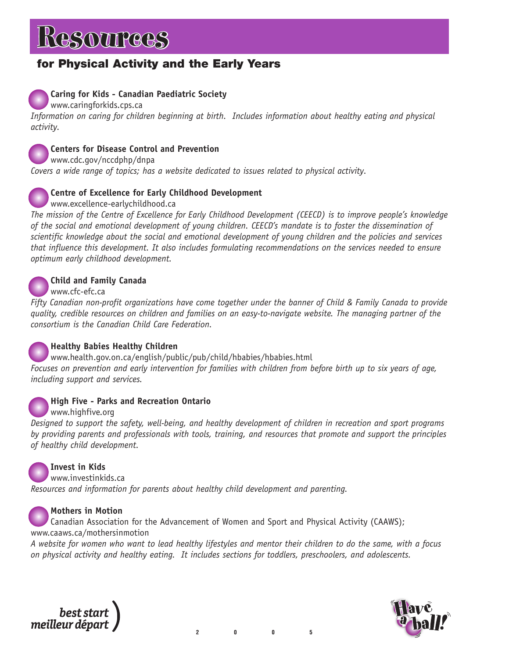# **ESOUPCES**

### **for Physical Activity and the Early Years**

### **Caring for Kids - Canadian Paediatric Society**

www.caringforkids.cps.ca

*Information on caring for children beginning at birth. Includes information about healthy eating and physical activity.*



### **Centers for Disease Control and Prevention**

www.cdc.gov/nccdphp/dnpa *Covers a wide range of topics; has a website dedicated to issues related to physical activity.*

### **Centre of Excellence for Early Childhood Development**

www.excellence-earlychildhood.ca

*The mission of the Centre of Excellence for Early Childhood Development (CEECD) is to improve people's knowledge of the social and emotional development of young children. CEECD's mandate is to foster the dissemination of scientific knowledge about the social and emotional development of young children and the policies and services that influence this development. It also includes formulating recommendations on the services needed to ensure optimum early childhood development.*



### **Child and Family Canada**

www.cfc-efc.ca

*Fifty Canadian non-profit organizations have come together under the banner of Child & Family Canada to provide quality, credible resources on children and families on an easy-to-navigate website. The managing partner of the consortium is the Canadian Child Care Federation.*



### **Healthy Babies Healthy Children**

www.health.gov.on.ca/english/public/pub/child/hbabies/hbabies.html *Focuses on prevention and early intervention for families with children from before birth up to six years of age, including support and services.*

### **High Five - Parks and Recreation Ontario**

www.highfive.org

*Designed to support the safety, well-being, and healthy development of children in recreation and sport programs by providing parents and professionals with tools, training, and resources that promote and support the principles of healthy child development.*



**Invest in Kids** www.investinkids.ca

*Resources and information for parents about healthy child development and parenting.*

**Mothers in Motion**

Canadian Association for the Advancement of Women and Sport and Physical Activity (CAAWS); www.caaws.ca/mothersinmotion

*A website for women who want to lead healthy lifestyles and mentor their children to do the same, with a focus on physical activity and healthy eating. It includes sections for toddlers, preschoolers, and adolescents.*



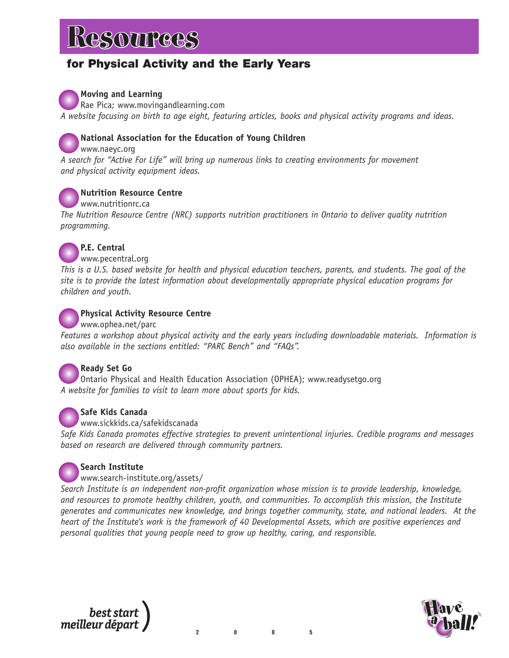### **for Physical Activity and the Early Years**

**Moving and Learning**

Rae Pica; www.movingandlearning.com *A website focusing on birth to age eight, featuring articles, books and physical activity programs and ideas.*



### **National Association for the Education of Young Children**

www.naeyc.org

*A search for "Active For Life" will bring up numerous links to creating environments for movement and physical activity equipment ideas.*



### **Nutrition Resource Centre**

www.nutritionrc.ca *The Nutrition Resource Centre (NRC) supports nutrition practitioners in Ontario to deliver quality nutrition programming.*



### **P.E. Central**

www.pecentral.org

*This is a U.S. based website for health and physical education teachers, parents, and students. The goal of the site is to provide the latest information about developmentally appropriate physical education programs for children and youth.*



### **Physical Activity Resource Centre**

#### www.ophea.net/parc

*Features a workshop about physical activity and the early years including downloadable materials. Information is also available in the sections entitled: "PARC Bench" and "FAQs".*



### **Ready Set Go**

Ontario Physical and Health Education Association (OPHEA); www.readysetgo.org *A website for families to visit to learn more about sports for kids.*



### **Safe Kids Canada**

#### www.sickkids.ca/safekidscanada

*Safe Kids Canada promotes effective strategies to prevent unintentional injuries. Credible programs and messages based on research are delivered through community partners.*



### **Search Institute**

#### www.search-institute.org/assets/

*Search Institute is an independent non-profit organization whose mission is to provide leadership, knowledge, and resources to promote healthy children, youth, and communities. To accomplish this mission, the Institute generates and communicates new knowledge, and brings together community, state, and national leaders. At the heart of the Institute's work is the framework of 40 Developmental Assets, which are positive experiences and personal qualities that young people need to grow up healthy, caring, and responsible.* 



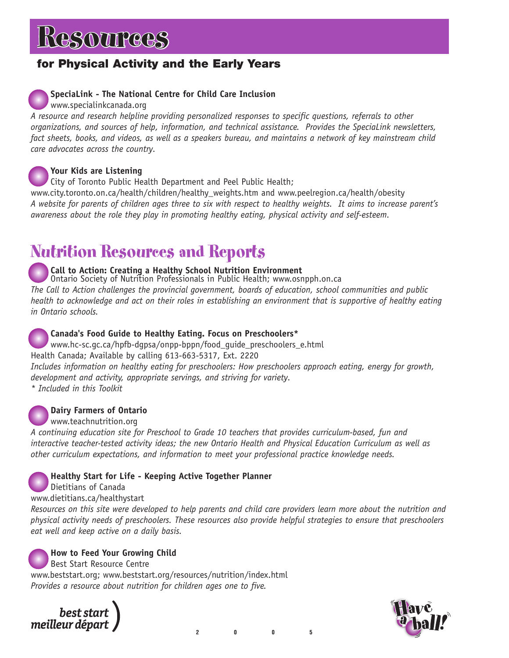### **for Physical Activity and the Early Years**

### **SpeciaLink - The National Centre for Child Care Inclusion**

www.specialinkcanada.org

*A resource and research helpline providing personalized responses to specific questions, referrals to other organizations, and sources of help, information, and technical assistance. Provides the SpeciaLink newsletters, fact sheets, books, and videos, as well as a speakers bureau, and maintains a network of key mainstream child care advocates across the country.*

**Your Kids are Listening**

City of Toronto Public Health Department and Peel Public Health;

www.city.toronto.on.ca/health/children/healthy\_weights.htm and www.peelregion.ca/health/obesity *A website for parents of children ages three to six with respect to healthy weights. It aims to increase parent's awareness about the role they play in promoting healthy eating, physical activity and self-esteem.* 

### Nutrition Resources and Reports

**Call to Action: Creating a Healthy School Nutrition Environment**

Ontario Society of Nutrition Professionals in Public Health; www.osnpph.on.ca *The Call to Action challenges the provincial government, boards of education, school communities and public health to acknowledge and act on their roles in establishing an environment that is supportive of healthy eating in Ontario schools.*

### **Canada's Food Guide to Healthy Eating. Focus on Preschoolers\***

www.hc-sc.gc.ca/hpfb-dgpsa/onpp-bppn/food\_guide\_preschoolers\_e.html Health Canada; Available by calling 613-663-5317, Ext. 2220 *Includes information on healthy eating for preschoolers: How preschoolers approach eating, energy for growth, development and activity, appropriate servings, and striving for variety. \* Included in this Toolkit*

### **Dairy Farmers of Ontario**

www.teachnutrition.org

*A continuing education site for Preschool to Grade 10 teachers that provides curriculum-based, fun and interactive teacher-tested activity ideas; the new Ontario Health and Physical Education Curriculum as well as other curriculum expectations, and information to meet your professional practice knowledge needs.*

### **Healthy Start for Life - Keeping Active Together Planner**

Dietitians of Canada

www.dietitians.ca/healthystart

*Resources on this site were developed to help parents and child care providers learn more about the nutrition and physical activity needs of preschoolers. These resources also provide helpful strategies to ensure that preschoolers eat well and keep active on a daily basis.* 

**How to Feed Your Growing Child**

Best Start Resource Centre

www.beststart.org; www.beststart.org/resources/nutrition/index.html *Provides a resource about nutrition for children ages one to five.*